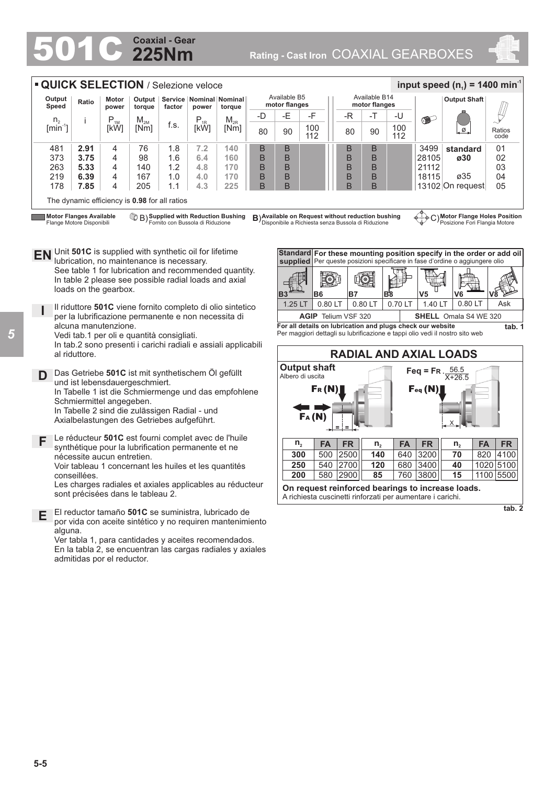### **225Nm Coaxial - Gear**

## 501C **Rating - Cast Iron** COAXIAL GEARBOXES



|                                                                                                                                                                                                                                         |                                                                                                                                                                                                                                                                                                                                                                                                                                                                                                                                                                                   |              |                            |                                | <b>QUICK SELECTION / Selezione veloce</b>                                                                                                         |            |                                                                                                                                                                                                                                        |        |                               |                                                  |           |                     |                                                            |            |                | input speed ( $n_1$ ) = 1400 min <sup>-1</sup>                               |           |                |
|-----------------------------------------------------------------------------------------------------------------------------------------------------------------------------------------------------------------------------------------|-----------------------------------------------------------------------------------------------------------------------------------------------------------------------------------------------------------------------------------------------------------------------------------------------------------------------------------------------------------------------------------------------------------------------------------------------------------------------------------------------------------------------------------------------------------------------------------|--------------|----------------------------|--------------------------------|---------------------------------------------------------------------------------------------------------------------------------------------------|------------|----------------------------------------------------------------------------------------------------------------------------------------------------------------------------------------------------------------------------------------|--------|-------------------------------|--------------------------------------------------|-----------|---------------------|------------------------------------------------------------|------------|----------------|------------------------------------------------------------------------------|-----------|----------------|
| Output<br>Speed                                                                                                                                                                                                                         |                                                                                                                                                                                                                                                                                                                                                                                                                                                                                                                                                                                   | Ratio        | Motor<br>power             | Output  <br>torque             | factor                                                                                                                                            | power      | Service   Nominal   Nominal   <br>torque                                                                                                                                                                                               |        | Available B5<br>motor flanges |                                                  |           |                     | Available B14<br>motor flanges                             |            |                | <b>Output Shaft</b>                                                          |           |                |
| n <sub>2</sub>                                                                                                                                                                                                                          |                                                                                                                                                                                                                                                                                                                                                                                                                                                                                                                                                                                   | Ť            | $\mathsf{P}_{\textsc{1M}}$ | $M_{2M}$                       | f.s.                                                                                                                                              | $P_{1R}$   | $\mathsf{M}_{\mathsf{2R}}$                                                                                                                                                                                                             | -D     | -E                            | -F                                               |           | -R                  | -T                                                         | -U         | $\bullet$      |                                                                              |           |                |
| $[min^{-1}]$                                                                                                                                                                                                                            |                                                                                                                                                                                                                                                                                                                                                                                                                                                                                                                                                                                   |              | [kW]                       | [Nm]                           |                                                                                                                                                   | [kW]       | [Nm]                                                                                                                                                                                                                                   | 80     | 90                            | 100<br>112                                       |           | 80                  | 90                                                         | 100<br>112 |                | ø                                                                            |           | Ratios<br>code |
| 481                                                                                                                                                                                                                                     | 373                                                                                                                                                                                                                                                                                                                                                                                                                                                                                                                                                                               | 2.91<br>3.75 | 4<br>4                     | 76<br>98                       | 1.8<br>1.6                                                                                                                                        | 7.2<br>6.4 | 140<br>160                                                                                                                                                                                                                             | B<br>B | B<br>B                        |                                                  |           | в<br>В              | В<br>B                                                     |            | 3499<br>28105  | standard<br>ø30                                                              |           | 01<br>02       |
|                                                                                                                                                                                                                                         | 263                                                                                                                                                                                                                                                                                                                                                                                                                                                                                                                                                                               | 5.33         | 4                          | 140                            | 1.2                                                                                                                                               | 4.8        | 170                                                                                                                                                                                                                                    | B      | B                             |                                                  |           | B                   | B                                                          |            | 21112          |                                                                              |           | 03             |
| 219                                                                                                                                                                                                                                     |                                                                                                                                                                                                                                                                                                                                                                                                                                                                                                                                                                                   | 6.39         | 4                          | 167                            | 1.0                                                                                                                                               | 4.0        | 170                                                                                                                                                                                                                                    | B      | B                             |                                                  |           | B                   | B                                                          |            | 18115          | ø35                                                                          |           | 04             |
| B<br>B<br>178<br>7.85<br>B<br>B<br>13102 On request<br>05<br>4<br>205<br>1.1<br>4.3<br>225                                                                                                                                              |                                                                                                                                                                                                                                                                                                                                                                                                                                                                                                                                                                                   |              |                            |                                |                                                                                                                                                   |            |                                                                                                                                                                                                                                        |        |                               |                                                  |           |                     |                                                            |            |                |                                                                              |           |                |
|                                                                                                                                                                                                                                         |                                                                                                                                                                                                                                                                                                                                                                                                                                                                                                                                                                                   |              |                            |                                | The dynamic efficiency is 0.98 for all ratios                                                                                                     |            |                                                                                                                                                                                                                                        |        |                               |                                                  |           |                     |                                                            |            |                |                                                                              |           |                |
| <b>EN</b>                                                                                                                                                                                                                               | <b>Motor Flanges Available</b><br>B) Supplied with Reduction Bushing<br>B) Available on Request without reduction bushing<br>C) Motor Flange Holes Position<br>Fornito con Bussola di Riduzione<br>Posizione Fori Flangia Motore<br>Flange Motore Disponibili<br>Disponibile a Richiesta senza Bussola di Riduzione<br>Unit 501C is supplied with synthetic oil for lifetime<br>Standard For these mounting position specify in the order or add oil<br>lubrication, no maintenance is necessary.<br>supplied Per queste posizioni specificare in fase d'ordine o aggiungere olio |              |                            |                                |                                                                                                                                                   |            |                                                                                                                                                                                                                                        |        |                               |                                                  |           |                     |                                                            |            |                |                                                                              |           |                |
|                                                                                                                                                                                                                                         | See table 1 for lubrication and recommended quantity.<br>In table 2 please see possible radial loads and axial<br>loads on the gearbox.                                                                                                                                                                                                                                                                                                                                                                                                                                           |              |                            |                                |                                                                                                                                                   |            |                                                                                                                                                                                                                                        |        | B3                            | <b>B6</b>                                        | (O)       | <b>B7</b>           | <u> 195</u><br>B8                                          |            | V <sub>5</sub> | V6                                                                           |           |                |
|                                                                                                                                                                                                                                         |                                                                                                                                                                                                                                                                                                                                                                                                                                                                                                                                                                                   |              |                            |                                |                                                                                                                                                   |            | Il riduttore 501C viene fornito completo di olio sintetico                                                                                                                                                                             |        | 1.25 LT                       |                                                  | $0.80$ LT |                     | $0.80L$ T                                                  | 0.70 LT    | 1.40 LT        | 0.80 LT                                                                      |           | Ask            |
|                                                                                                                                                                                                                                         |                                                                                                                                                                                                                                                                                                                                                                                                                                                                                                                                                                                   |              | alcuna manutenzione.       |                                | per la lubrificazione permanente e non necessita di                                                                                               |            |                                                                                                                                                                                                                                        |        |                               |                                                  |           | AGIP Telium VSF 320 | For all details on lubrication and plugs check our website |            |                | <b>SHELL</b> Omala S4 WE 320                                                 |           |                |
|                                                                                                                                                                                                                                         |                                                                                                                                                                                                                                                                                                                                                                                                                                                                                                                                                                                   |              |                            |                                | Vedi tab.1 per oli e quantità consigliati.                                                                                                        |            | In tab.2 sono presenti i carichi radiali e assiali applicabili                                                                                                                                                                         |        |                               |                                                  |           |                     |                                                            |            |                | Per maggiori dettagli su lubrificazione e tappi olio vedi il nostro sito web |           | tab. 1         |
|                                                                                                                                                                                                                                         | al riduttore.                                                                                                                                                                                                                                                                                                                                                                                                                                                                                                                                                                     |              |                            |                                |                                                                                                                                                   |            |                                                                                                                                                                                                                                        |        |                               |                                                  |           |                     |                                                            |            |                | <b>RADIAL AND AXIAL LOADS</b>                                                |           |                |
| D                                                                                                                                                                                                                                       |                                                                                                                                                                                                                                                                                                                                                                                                                                                                                                                                                                                   |              | Schmiermittel angegeben.   | und ist lebensdauergeschmiert. | Das Getriebe 501C ist mit synthetischem Öl gefüllt<br>In Tabelle 2 sind die zulässigen Radial - und<br>Axialbelastungen des Getriebes aufgeführt. |            | In Tabelle 1 ist die Schmiermenge und das empfohlene                                                                                                                                                                                   |        |                               | <b>Output shaft</b><br>Albero di uscita<br>FA(M) | $F_R(N)$  |                     |                                                            |            | Feq (N)        | Feq = FR $\frac{56.5}{X+26.5}$                                               |           |                |
| F                                                                                                                                                                                                                                       |                                                                                                                                                                                                                                                                                                                                                                                                                                                                                                                                                                                   |              |                            |                                | synthétique pour la lubrification permanente et ne                                                                                                |            | Le réducteur 501C est fourni complet avec de l'huile                                                                                                                                                                                   |        | n <sub>2</sub>                |                                                  | <b>FA</b> | <b>FR</b>           | n <sub>2</sub>                                             | <b>FA</b>  | <b>FR</b>      | n <sub>2</sub>                                                               | <b>FA</b> | <b>FR</b>      |
|                                                                                                                                                                                                                                         |                                                                                                                                                                                                                                                                                                                                                                                                                                                                                                                                                                                   |              | nécessite aucun entretien. |                                |                                                                                                                                                   |            |                                                                                                                                                                                                                                        |        | 300                           |                                                  | 500       | 2500                | 140                                                        | 640        | 3200           | 70                                                                           | 820       | 4100           |
|                                                                                                                                                                                                                                         |                                                                                                                                                                                                                                                                                                                                                                                                                                                                                                                                                                                   |              |                            |                                |                                                                                                                                                   |            | Voir tableau 1 concernant les huiles et les quantités                                                                                                                                                                                  |        | 250                           |                                                  | 540       | 2700                | 120                                                        | 680        | 3400           | 40                                                                           |           | 1020 5100      |
| 200<br>conseillées.<br>Les charges radiales et axiales applicables au réducteur<br>On request reinforced bearings to increase loads.<br>sont précisées dans le tableau 2.<br>A richiesta cuscinetti rinforzati per aumentare i carichi. |                                                                                                                                                                                                                                                                                                                                                                                                                                                                                                                                                                                   |              |                            |                                |                                                                                                                                                   |            |                                                                                                                                                                                                                                        |        |                               |                                                  | 580       | 2900                | 85                                                         | 760        | 3800           | 15                                                                           |           | 1100 5500      |
| E.                                                                                                                                                                                                                                      | alguna.                                                                                                                                                                                                                                                                                                                                                                                                                                                                                                                                                                           |              | admitidas por el reductor. |                                |                                                                                                                                                   |            | El reductor tamaño 501C se suministra, lubricado de<br>por vida con aceite sintético y no requiren mantenimiento<br>Ver tabla 1, para cantidades y aceites recomendados.<br>En la tabla 2, se encuentran las cargas radiales y axiales |        |                               |                                                  |           |                     |                                                            |            |                |                                                                              |           | tab. 2         |

*5*